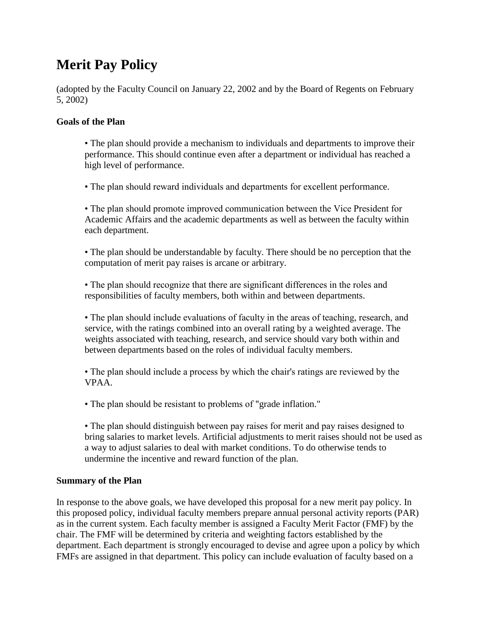# **Merit Pay Policy**

(adopted by the Faculty Council on January 22, 2002 and by the Board of Regents on February 5, 2002)

# **Goals of the Plan**

• The plan should provide a mechanism to individuals and departments to improve their performance. This should continue even after a department or individual has reached a high level of performance.

• The plan should reward individuals and departments for excellent performance.

• The plan should promote improved communication between the Vice President for Academic Affairs and the academic departments as well as between the faculty within each department.

• The plan should be understandable by faculty. There should be no perception that the computation of merit pay raises is arcane or arbitrary.

• The plan should recognize that there are significant differences in the roles and responsibilities of faculty members, both within and between departments.

• The plan should include evaluations of faculty in the areas of teaching, research, and service, with the ratings combined into an overall rating by a weighted average. The weights associated with teaching, research, and service should vary both within and between departments based on the roles of individual faculty members.

• The plan should include a process by which the chair's ratings are reviewed by the VPAA.

• The plan should be resistant to problems of "grade inflation."

• The plan should distinguish between pay raises for merit and pay raises designed to bring salaries to market levels. Artificial adjustments to merit raises should not be used as a way to adjust salaries to deal with market conditions. To do otherwise tends to undermine the incentive and reward function of the plan.

# **Summary of the Plan**

In response to the above goals, we have developed this proposal for a new merit pay policy. In this proposed policy, individual faculty members prepare annual personal activity reports (PAR) as in the current system. Each faculty member is assigned a Faculty Merit Factor (FMF) by the chair. The FMF will be determined by criteria and weighting factors established by the department. Each department is strongly encouraged to devise and agree upon a policy by which FMFs are assigned in that department. This policy can include evaluation of faculty based on a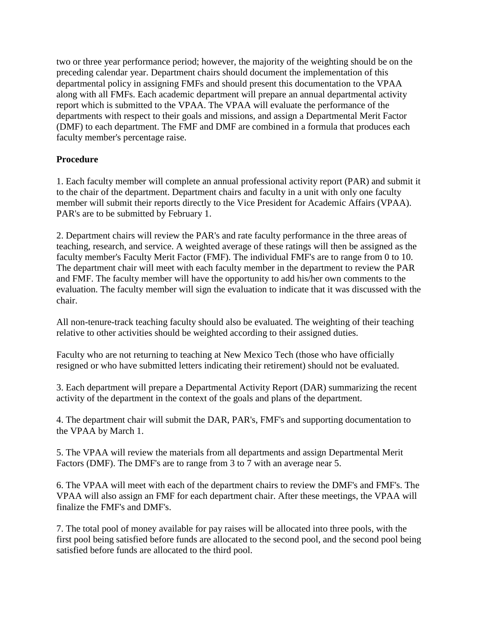two or three year performance period; however, the majority of the weighting should be on the preceding calendar year. Department chairs should document the implementation of this departmental policy in assigning FMFs and should present this documentation to the VPAA along with all FMFs. Each academic department will prepare an annual departmental activity report which is submitted to the VPAA. The VPAA will evaluate the performance of the departments with respect to their goals and missions, and assign a Departmental Merit Factor (DMF) to each department. The FMF and DMF are combined in a formula that produces each faculty member's percentage raise.

# **Procedure**

1. Each faculty member will complete an annual professional activity report (PAR) and submit it to the chair of the department. Department chairs and faculty in a unit with only one faculty member will submit their reports directly to the Vice President for Academic Affairs (VPAA). PAR's are to be submitted by February 1.

2. Department chairs will review the PAR's and rate faculty performance in the three areas of teaching, research, and service. A weighted average of these ratings will then be assigned as the faculty member's Faculty Merit Factor (FMF). The individual FMF's are to range from 0 to 10. The department chair will meet with each faculty member in the department to review the PAR and FMF. The faculty member will have the opportunity to add his/her own comments to the evaluation. The faculty member will sign the evaluation to indicate that it was discussed with the chair.

All non-tenure-track teaching faculty should also be evaluated. The weighting of their teaching relative to other activities should be weighted according to their assigned duties.

Faculty who are not returning to teaching at New Mexico Tech (those who have officially resigned or who have submitted letters indicating their retirement) should not be evaluated.

3. Each department will prepare a Departmental Activity Report (DAR) summarizing the recent activity of the department in the context of the goals and plans of the department.

4. The department chair will submit the DAR, PAR's, FMF's and supporting documentation to the VPAA by March 1.

5. The VPAA will review the materials from all departments and assign Departmental Merit Factors (DMF). The DMF's are to range from 3 to 7 with an average near 5.

6. The VPAA will meet with each of the department chairs to review the DMF's and FMF's. The VPAA will also assign an FMF for each department chair. After these meetings, the VPAA will finalize the FMF's and DMF's.

7. The total pool of money available for pay raises will be allocated into three pools, with the first pool being satisfied before funds are allocated to the second pool, and the second pool being satisfied before funds are allocated to the third pool.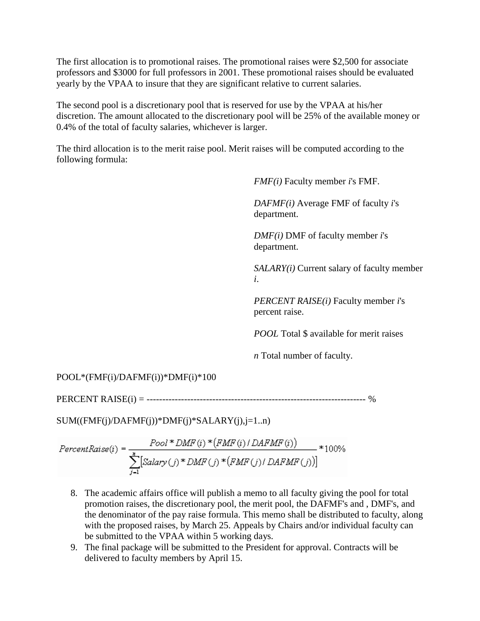The first allocation is to promotional raises. The promotional raises were \$2,500 for associate professors and \$3000 for full professors in 2001. These promotional raises should be evaluated yearly by the VPAA to insure that they are significant relative to current salaries.

The second pool is a discretionary pool that is reserved for use by the VPAA at his/her discretion. The amount allocated to the discretionary pool will be 25% of the available money or 0.4% of the total of faculty salaries, whichever is larger.

The third allocation is to the merit raise pool. Merit raises will be computed according to the following formula:

*FMF(i)* Faculty member *i*'s FMF.

*DAFMF(i)* Average FMF of faculty *i*'s department.

*DMF(i)* DMF of faculty member *i*'s department.

*SALARY(i)* Current salary of faculty member *i*.

*PERCENT RAISE(i)* Faculty member *i*'s percent raise.

*POOL* Total \$ available for merit raises

*n* Total number of faculty.

POOL\*(FMF(i)/DAFMF(i))\*DMF(i)\*100

PERCENT RAISE(i) = ---------------------------------------------------------------------- %

 $SUM((FMF(j)/DAFMF(j))*DMF(j)*SALARY(j), j=1..n)$ 

$$
PercentRate(i) = \frac{Pool * DMF(i) * (FMF(i) / DAFMF(i))}{\sum_{j=1}^{n} [Salary(j) * DMF(j) * (FMF(j) / DAFMF(j))]} * 100\%
$$

- 8. The academic affairs office will publish a memo to all faculty giving the pool for total promotion raises, the discretionary pool, the merit pool, the DAFMF's and , DMF's, and the denominator of the pay raise formula. This memo shall be distributed to faculty, along with the proposed raises, by March 25. Appeals by Chairs and/or individual faculty can be submitted to the VPAA within 5 working days.
- 9. The final package will be submitted to the President for approval. Contracts will be delivered to faculty members by April 15.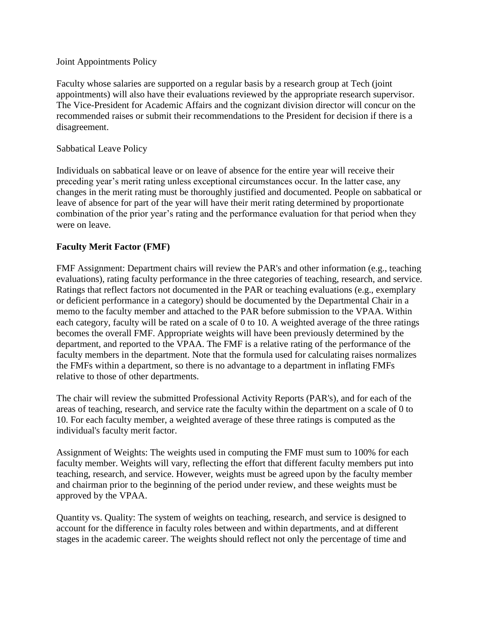#### Joint Appointments Policy

Faculty whose salaries are supported on a regular basis by a research group at Tech (joint appointments) will also have their evaluations reviewed by the appropriate research supervisor. The Vice-President for Academic Affairs and the cognizant division director will concur on the recommended raises or submit their recommendations to the President for decision if there is a disagreement.

#### Sabbatical Leave Policy

Individuals on sabbatical leave or on leave of absence for the entire year will receive their preceding year's merit rating unless exceptional circumstances occur. In the latter case, any changes in the merit rating must be thoroughly justified and documented. People on sabbatical or leave of absence for part of the year will have their merit rating determined by proportionate combination of the prior year's rating and the performance evaluation for that period when they were on leave.

#### **Faculty Merit Factor (FMF)**

FMF Assignment: Department chairs will review the PAR's and other information (e.g., teaching evaluations), rating faculty performance in the three categories of teaching, research, and service. Ratings that reflect factors not documented in the PAR or teaching evaluations (e.g., exemplary or deficient performance in a category) should be documented by the Departmental Chair in a memo to the faculty member and attached to the PAR before submission to the VPAA. Within each category, faculty will be rated on a scale of 0 to 10. A weighted average of the three ratings becomes the overall FMF. Appropriate weights will have been previously determined by the department, and reported to the VPAA. The FMF is a relative rating of the performance of the faculty members in the department. Note that the formula used for calculating raises normalizes the FMFs within a department, so there is no advantage to a department in inflating FMFs relative to those of other departments.

The chair will review the submitted Professional Activity Reports (PAR's), and for each of the areas of teaching, research, and service rate the faculty within the department on a scale of 0 to 10. For each faculty member, a weighted average of these three ratings is computed as the individual's faculty merit factor.

Assignment of Weights: The weights used in computing the FMF must sum to 100% for each faculty member. Weights will vary, reflecting the effort that different faculty members put into teaching, research, and service. However, weights must be agreed upon by the faculty member and chairman prior to the beginning of the period under review, and these weights must be approved by the VPAA.

Quantity vs. Quality: The system of weights on teaching, research, and service is designed to account for the difference in faculty roles between and within departments, and at different stages in the academic career. The weights should reflect not only the percentage of time and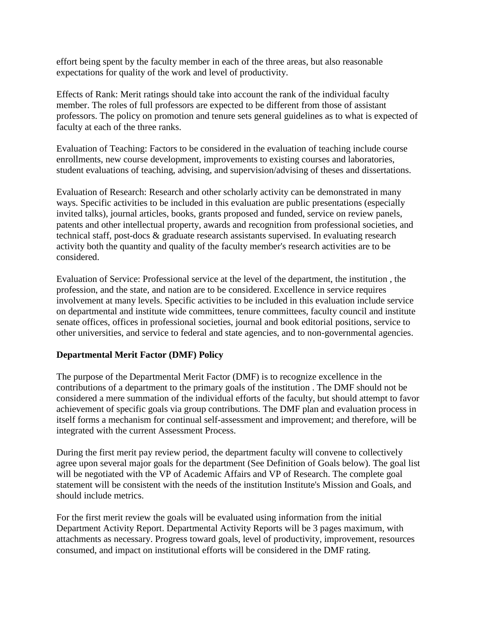effort being spent by the faculty member in each of the three areas, but also reasonable expectations for quality of the work and level of productivity.

Effects of Rank: Merit ratings should take into account the rank of the individual faculty member. The roles of full professors are expected to be different from those of assistant professors. The policy on promotion and tenure sets general guidelines as to what is expected of faculty at each of the three ranks.

Evaluation of Teaching: Factors to be considered in the evaluation of teaching include course enrollments, new course development, improvements to existing courses and laboratories, student evaluations of teaching, advising, and supervision/advising of theses and dissertations.

Evaluation of Research: Research and other scholarly activity can be demonstrated in many ways. Specific activities to be included in this evaluation are public presentations (especially invited talks), journal articles, books, grants proposed and funded, service on review panels, patents and other intellectual property, awards and recognition from professional societies, and technical staff, post-docs & graduate research assistants supervised. In evaluating research activity both the quantity and quality of the faculty member's research activities are to be considered.

Evaluation of Service: Professional service at the level of the department, the institution , the profession, and the state, and nation are to be considered. Excellence in service requires involvement at many levels. Specific activities to be included in this evaluation include service on departmental and institute wide committees, tenure committees, faculty council and institute senate offices, offices in professional societies, journal and book editorial positions, service to other universities, and service to federal and state agencies, and to non-governmental agencies.

# **Departmental Merit Factor (DMF) Policy**

The purpose of the Departmental Merit Factor (DMF) is to recognize excellence in the contributions of a department to the primary goals of the institution . The DMF should not be considered a mere summation of the individual efforts of the faculty, but should attempt to favor achievement of specific goals via group contributions. The DMF plan and evaluation process in itself forms a mechanism for continual self-assessment and improvement; and therefore, will be integrated with the current Assessment Process.

During the first merit pay review period, the department faculty will convene to collectively agree upon several major goals for the department (See Definition of Goals below). The goal list will be negotiated with the VP of Academic Affairs and VP of Research. The complete goal statement will be consistent with the needs of the institution Institute's Mission and Goals, and should include metrics.

For the first merit review the goals will be evaluated using information from the initial Department Activity Report. Departmental Activity Reports will be 3 pages maximum, with attachments as necessary. Progress toward goals, level of productivity, improvement, resources consumed, and impact on institutional efforts will be considered in the DMF rating.